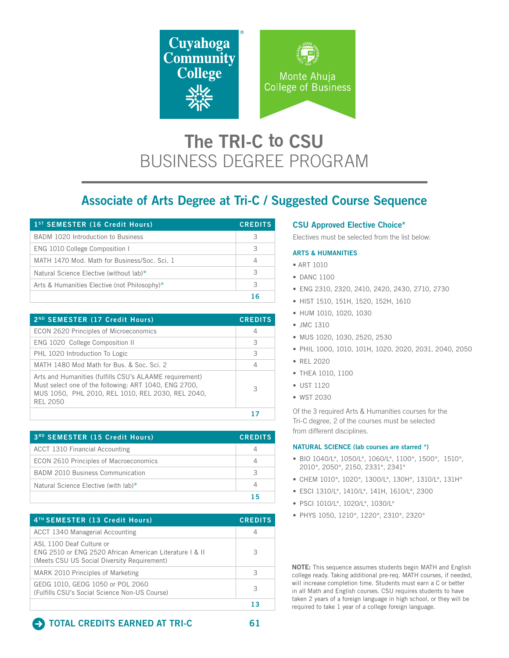

# The TRI-C to CSU BUSINESS DEGREE PROGRAM

# Associate of Arts Degree at Tri-C / Suggested Course Sequence

| 1 <sup>ST</sup> SEMESTER (16 Credit Hours)   | <b>CREDITS</b> |
|----------------------------------------------|----------------|
| BADM 1020 Introduction to Business           | З              |
| ENG 1010 College Composition I               | З              |
| MATH 1470 Mod. Math for Business/Soc. Sci. 1 | 4              |
| Natural Science Elective (without lab)*      | 3              |
| Arts & Humanities Elective (not Philosophy)* | З              |
|                                              |                |

| 2ND SEMESTER (17 Credit Hours)                                                                                                                                                           | <b>CREDITS</b> |
|------------------------------------------------------------------------------------------------------------------------------------------------------------------------------------------|----------------|
| <b>ECON 2620 Principles of Microeconomics</b>                                                                                                                                            | 4              |
| ENG 1020 College Composition II                                                                                                                                                          | 3              |
| PHL 1020 Introduction To Logic                                                                                                                                                           | 3              |
| MATH 1480 Mod Math for Bus. & Soc. Sci. 2                                                                                                                                                | 4              |
| Arts and Humanities (fulfills CSU's ALAAME requirement)<br>Must select one of the following: ART 1040, ENG 2700,<br>MUS 1050, PHL 2010, REL 1010, REL 2030, REL 2040,<br><b>REL 2050</b> | 3              |
|                                                                                                                                                                                          |                |

| <b>3RD SEMESTER (15 Credit Hours)</b>   | <b>CREDITS</b> |
|-----------------------------------------|----------------|
| ACCT 1310 Financial Accounting          |                |
| ECON 2610 Principles of Macroeconomics  |                |
| <b>BADM 2010 Business Communication</b> | 3              |
| Natural Science Elective (with lab)*    |                |
|                                         |                |

| 4 <sup>TH</sup> SEMESTER (13 Credit Hours)                                                                                         | <b>CREDITS</b> |
|------------------------------------------------------------------------------------------------------------------------------------|----------------|
| ACCT 1340 Managerial Accounting                                                                                                    | 4              |
| ASL 1100 Deaf Culture or<br>ENG 2510 or ENG 2520 African American Literature   & II<br>(Meets CSU US Social Diversity Requirement) | З              |
| MARK 2010 Principles of Marketing                                                                                                  | 3              |
| GEOG 1010, GEOG 1050 or POL 2060<br>(Fulfills CSU's Social Science Non-US Course)                                                  | 3              |
|                                                                                                                                    |                |

### CSU Approved Elective Choice\*

Electives must be selected from the list below:

#### ARTS & HUMANITIES

- ART 1010
- DANC 1100
- ENG 2310, 2320, 2410, 2420, 2430, 2710, 2730
- HIST 1510, 151H, 1520, 152H, 1610
- HUM 1010, 1020, 1030
- JMC 1310
- MUS 1020, 1030, 2520, 2530
- PHIL 1000, 1010, 101H, 1020, 2020, 2031, 2040, 2050
- REL 2020
- THEA 1010, 1100
- UST 1120
- WST 2030

Of the 3 required Arts & Humanities courses for the Tri-C degree, 2 of the courses must be selected from different disciplines.

#### NATURAL SCIENCE (lab courses are starred \*)

- BIO 1040/L\*, 1050/L\*, 1060/L\*, 1100\*, 1500\*, 1510\*, 2010\*, 2050\*, 2150, 2331\*, 2341\*
- CHEM 1010\*, 1020\*, 1300/L\*, 130H\*, 1310/L\*, 131H\*
- ESCI 1310/L\*, 1410/L\*, 141H, 1610/L\*, 2300
- PSCI 1010/L\*, 1020/L\*, 1030/L\*
- PHYS 1050, 1210\*, 1220\*, 2310\*, 2320\*

NOTE: This sequence assumes students begin MATH and English college ready. Taking additional pre-req. MATH courses, if needed, will increase completion time. Students must earn a C or better in all Math and English courses. CSU requires students to have taken 2 years of a foreign language in high school, or they will be required to take 1 year of a college foreign language.

## **E** TOTAL CREDITS EARNED AT TRI-C 61